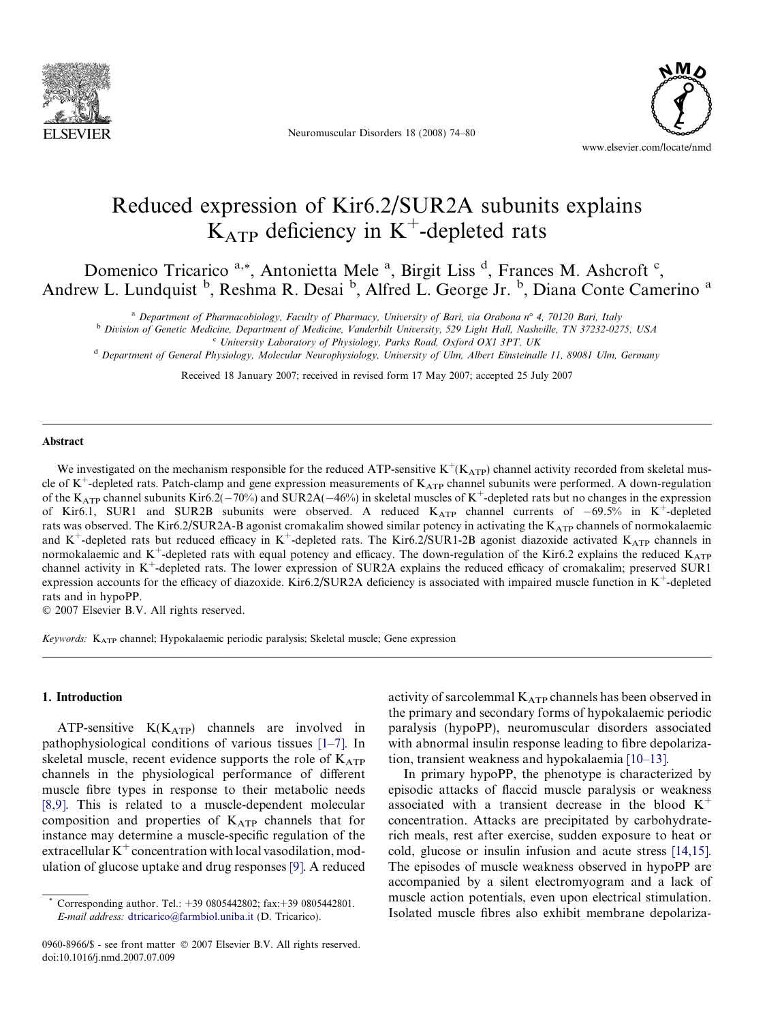

Neuromuscular Disorders 18 (2008) 74–80



# Reduced expression of Kir6.2/SUR2A subunits explains  $K_{ATP}$  deficiency in  $K^+$ -depleted rats

Domenico Tricarico<sup>a,\*</sup>, Antonietta Mele<sup>a</sup>, Birgit Liss<sup>d</sup>, Frances M. Ashcroft<sup>c</sup>, Andrew L. Lundquist <sup>b</sup>, Reshma R. Desai <sup>b</sup>, Alfred L. George Jr. <sup>b</sup>, Diana Conte Camerino <sup>a</sup>

a Department of Pharmacobiology, Faculty of Pharmacy, University of Bari, via Orabona n° 4, 70120 Bari, Italy

<sup>b</sup> Division of Genetic Medicine, Department of Medicine, Vanderbilt University, 529 Light Hall, Nashville, TN 37232-0275, USA

<sup>c</sup> University Laboratory of Physiology, Parks Road, Oxford OX1 3PT, UK

<sup>d</sup> Department of General Physiology, Molecular Neurophysiology, University of Ulm, Albert Einsteinalle 11, 89081 Ulm, Germany

Received 18 January 2007; received in revised form 17 May 2007; accepted 25 July 2007

#### **Abstract**

We investigated on the mechanism responsible for the reduced ATP-sensitive  $K^+(K_{\text{ATP}})$  channel activity recorded from skeletal muscle of  $K^+$ -depleted rats. Patch-clamp and gene expression measurements of  $K_{ATP}$  channel subunits were performed. A down-regulation of the  $K_{ATP}$  channel subunits Kir6.2( $-70\%$ ) and SUR2A( $-46\%$ ) in skeletal muscles of K<sup>+</sup>-depleted rats but no changes in the expression of Kir6.1, SUR1 and SUR2B subunits were observed. A reduced  $K_{ATP}$  channel currents of  $-69.5\%$  in K<sup>+</sup>-depleted rats was observed. The Kir6.2/SUR2A-B agonist cromakalim showed similar potency in activating the K<sub>ATP</sub> channels of normokalaemic and  $K^+$ -depleted rats but reduced efficacy in  $K^+$ -depleted rats. The Kir6.2/SUR1-2B agonist diazoxide activated K<sub>ATP</sub> channels in normokalaemic and  $K^+$ -depleted rats with equal potency and efficacy. The down-regulation of the Kir6.2 explains the reduced  $K_{ATP}$ channel activity in K+-depleted rats. The lower expression of SUR2A explains the reduced efficacy of cromakalim; preserved SUR1 expression accounts for the efficacy of diazoxide. Kir6.2/SUR2A deficiency is associated with impaired muscle function in  $K^+$ -depleted rats and in hypoPP.

2007 Elsevier B.V. All rights reserved.

Keywords: KATP channel; Hypokalaemic periodic paralysis; Skeletal muscle; Gene expression

#### 1. Introduction

ATP-sensitive  $K(K_{ATP})$  channels are involved in pathophysiological conditions of various tissues [\[1–7\]](#page-6-0). In skeletal muscle, recent evidence supports the role of  $K_{ATP}$ channels in the physiological performance of different muscle fibre types in response to their metabolic needs [\[8,9\].](#page-6-0) This is related to a muscle-dependent molecular composition and properties of  $K_{ATP}$  channels that for instance may determine a muscle-specific regulation of the extracellular  $K^+$  concentration with local vasodilation, modulation of glucose uptake and drug responses [\[9\]](#page-6-0). A reduced

0960-8966/\$ - see front matter  $\oslash$  2007 Elsevier B.V. All rights reserved. doi:10.1016/j.nmd.2007.07.009

activity of sarcolemmal  $K_{ATP}$  channels has been observed in the primary and secondary forms of hypokalaemic periodic paralysis (hypoPP), neuromuscular disorders associated with abnormal insulin response leading to fibre depolarization, transient weakness and hypokalaemia [\[10–13\]](#page-6-0).

In primary hypoPP, the phenotype is characterized by episodic attacks of flaccid muscle paralysis or weakness associated with a transient decrease in the blood  $K^+$ concentration. Attacks are precipitated by carbohydraterich meals, rest after exercise, sudden exposure to heat or cold, glucose or insulin infusion and acute stress [\[14,15\]](#page-6-0). The episodes of muscle weakness observed in hypoPP are accompanied by a silent electromyogram and a lack of muscle action potentials, even upon electrical stimulation. Isolated muscle fibres also exhibit membrane depolariza-

<sup>\*</sup> Corresponding author. Tel.: +39 0805442802; fax:+39 0805442801. E-mail address: [dtricarico@farmbiol.uniba.it](mailto:dtricarico@farmbiol.uniba.it) (D. Tricarico).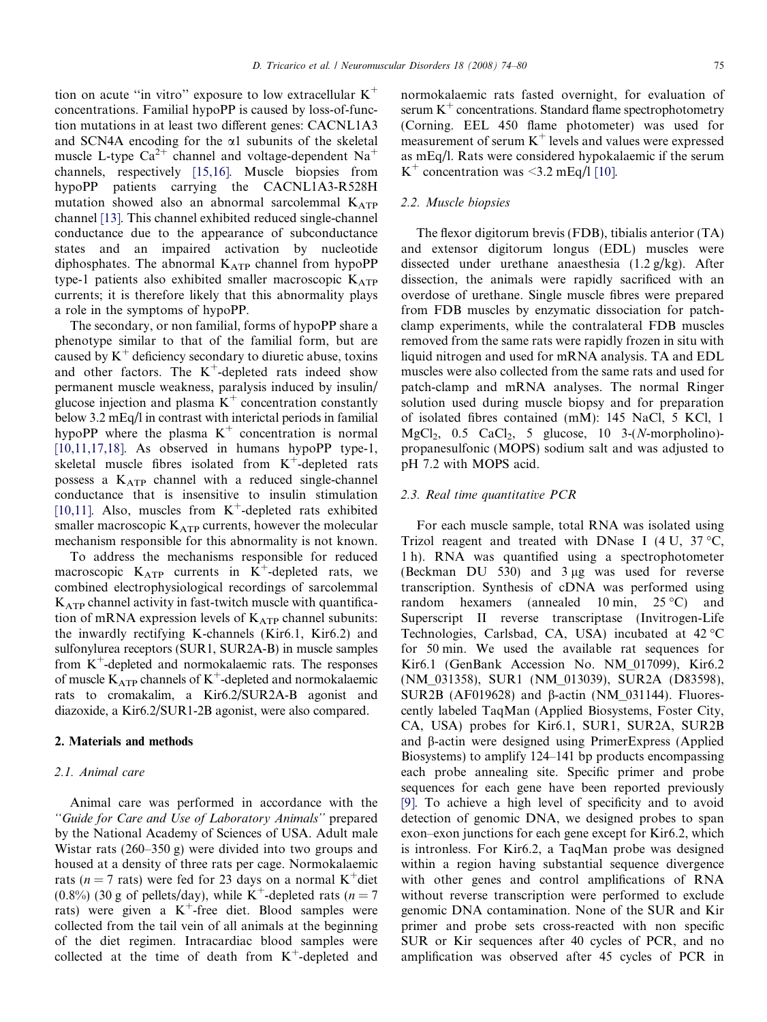tion on acute "in vitro" exposure to low extracellular  $K^+$ concentrations. Familial hypoPP is caused by loss-of-function mutations in at least two different genes: CACNL1A3 and SCN4A encoding for the  $\alpha$ 1 subunits of the skeletal muscle L-type  $Ca^{2+}$  channel and voltage-dependent Na<sup>+</sup> channels, respectively [\[15,16\].](#page-6-0) Muscle biopsies from hypoPP patients carrying the CACNL1A3-R528H mutation showed also an abnormal sarcolemmal  $K_{ATP}$ channel [\[13\]](#page-6-0). This channel exhibited reduced single-channel conductance due to the appearance of subconductance states and an impaired activation by nucleotide diphosphates. The abnormal  $K_{ATP}$  channel from hypoPP type-1 patients also exhibited smaller macroscopic  $K_{ATP}$ currents; it is therefore likely that this abnormality plays a role in the symptoms of hypoPP.

The secondary, or non familial, forms of hypoPP share a phenotype similar to that of the familial form, but are caused by  $K^+$  deficiency secondary to diuretic abuse, toxins and other factors. The  $K^+$ -depleted rats indeed show permanent muscle weakness, paralysis induced by insulin/ glucose injection and plasma  $K^+$  concentration constantly below 3.2 mEq/l in contrast with interictal periods in familial hypoPP where the plasma  $K^+$  concentration is normal  $[10,11,17,18]$ . As observed in humans hypoPP type-1, skeletal muscle fibres isolated from  $K^+$ -depleted rats possess a  $K_{ATP}$  channel with a reduced single-channel conductance that is insensitive to insulin stimulation [\[10,11\].](#page-6-0) Also, muscles from  $K^+$ -depleted rats exhibited smaller macroscopic  $K_{ATP}$  currents, however the molecular mechanism responsible for this abnormality is not known.

To address the mechanisms responsible for reduced macroscopic  $K_{ATP}$  currents in  $K^+$ -depleted rats, we combined electrophysiological recordings of sarcolemmal  $K_{ATP}$  channel activity in fast-twitch muscle with quantification of mRNA expression levels of  $K_{ATP}$  channel subunits: the inwardly rectifying K-channels (Kir6.1, Kir6.2) and sulfonylurea receptors (SUR1, SUR2A-B) in muscle samples from  $K^+$ -depleted and normokalaemic rats. The responses of muscle  $K_{ATP}$  channels of  $K^+$ -depleted and normokalaemic rats to cromakalim, a Kir6.2/SUR2A-B agonist and diazoxide, a Kir6.2/SUR1-2B agonist, were also compared.

#### 2. Materials and methods

#### 2.1. Animal care

Animal care was performed in accordance with the ''Guide for Care and Use of Laboratory Animals'' prepared by the National Academy of Sciences of USA. Adult male Wistar rats (260–350 g) were divided into two groups and housed at a density of three rats per cage. Normokalaemic rats ( $n = 7$  rats) were fed for 23 days on a normal K<sup>+</sup>diet  $(0.8\%)$  (30 g of pellets/day), while K<sup>+</sup>-depleted rats ( $n = 7$ rats) were given a  $K^+$ -free diet. Blood samples were collected from the tail vein of all animals at the beginning of the diet regimen. Intracardiac blood samples were collected at the time of death from  $K^+$ -depleted and normokalaemic rats fasted overnight, for evaluation of serum  $K^+$  concentrations. Standard flame spectrophotometry (Corning. EEL 450 flame photometer) was used for measurement of serum  $K^+$  levels and values were expressed as mEq/l. Rats were considered hypokalaemic if the serum  $K^+$  concentration was <3.2 mEq $/$ [\[10\]](#page-6-0).

## 2.2. Muscle biopsies

The flexor digitorum brevis (FDB), tibialis anterior (TA) and extensor digitorum longus (EDL) muscles were dissected under urethane anaesthesia (1.2 g/kg). After dissection, the animals were rapidly sacrificed with an overdose of urethane. Single muscle fibres were prepared from FDB muscles by enzymatic dissociation for patchclamp experiments, while the contralateral FDB muscles removed from the same rats were rapidly frozen in situ with liquid nitrogen and used for mRNA analysis. TA and EDL muscles were also collected from the same rats and used for patch-clamp and mRNA analyses. The normal Ringer solution used during muscle biopsy and for preparation of isolated fibres contained (mM): 145 NaCl, 5 KCl, 1  $MgCl<sub>2</sub>$ , 0.5 CaCl<sub>2</sub>, 5 glucose, 10 3-(N-morpholino)propanesulfonic (MOPS) sodium salt and was adjusted to pH 7.2 with MOPS acid.

#### 2.3. Real time quantitative PCR

For each muscle sample, total RNA was isolated using Trizol reagent and treated with DNase I (4 U, 37 °C, 1 h). RNA was quantified using a spectrophotometer (Beckman DU 530) and  $3 \mu$ g was used for reverse transcription. Synthesis of cDNA was performed using random hexamers (annealed 10 min,  $25^{\circ}$ C) and Superscript II reverse transcriptase (Invitrogen-Life Technologies, Carlsbad, CA, USA) incubated at 42 °C for 50 min. We used the available rat sequences for Kir6.1 (GenBank Accession No. NM\_017099), Kir6.2 (NM\_031358), SUR1 (NM\_013039), SUR2A (D83598), SUR2B (AF019628) and  $\beta$ -actin (NM\_031144). Fluorescently labeled TaqMan (Applied Biosystems, Foster City, CA, USA) probes for Kir6.1, SUR1, SUR2A, SUR2B and b-actin were designed using PrimerExpress (Applied Biosystems) to amplify 124–141 bp products encompassing each probe annealing site. Specific primer and probe sequences for each gene have been reported previously [\[9\].](#page-6-0) To achieve a high level of specificity and to avoid detection of genomic DNA, we designed probes to span exon–exon junctions for each gene except for Kir6.2, which is intronless. For Kir6.2, a TaqMan probe was designed within a region having substantial sequence divergence with other genes and control amplifications of RNA without reverse transcription were performed to exclude genomic DNA contamination. None of the SUR and Kir primer and probe sets cross-reacted with non specific SUR or Kir sequences after 40 cycles of PCR, and no amplification was observed after 45 cycles of PCR in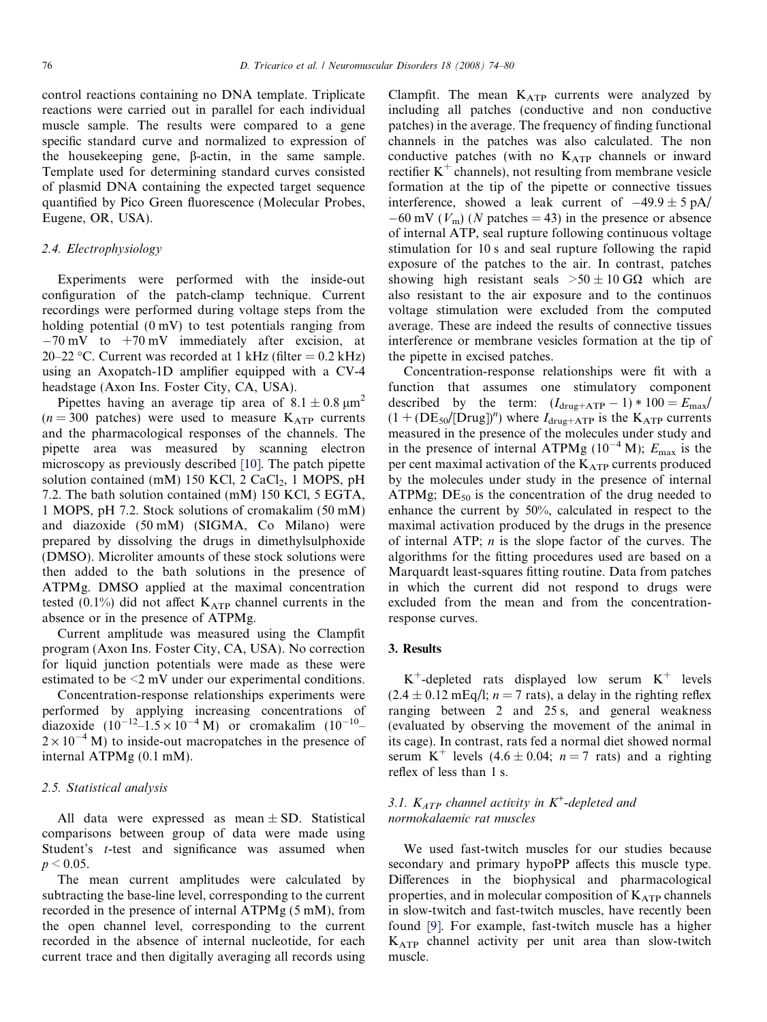control reactions containing no DNA template. Triplicate reactions were carried out in parallel for each individual muscle sample. The results were compared to a gene specific standard curve and normalized to expression of the housekeeping gene, b-actin, in the same sample. Template used for determining standard curves consisted of plasmid DNA containing the expected target sequence quantified by Pico Green fluorescence (Molecular Probes, Eugene, OR, USA).

## 2.4. Electrophysiology

Experiments were performed with the inside-out configuration of the patch-clamp technique. Current recordings were performed during voltage steps from the holding potential (0 mV) to test potentials ranging from  $-70$  mV to  $+70$  mV immediately after excision, at 20–22 °C. Current was recorded at 1 kHz (filter = 0.2 kHz) using an Axopatch-1D amplifier equipped with a CV-4 headstage (Axon Ins. Foster City, CA, USA).

Pipettes having an average tip area of  $8.1 \pm 0.8$   $\mu$ m<sup>2</sup>  $(n = 300$  patches) were used to measure  $K_{ATP}$  currents and the pharmacological responses of the channels. The pipette area was measured by scanning electron microscopy as previously described [\[10\]](#page-6-0). The patch pipette solution contained (mM) 150 KCl, 2 CaCl<sub>2</sub>, 1 MOPS, pH 7.2. The bath solution contained (mM) 150 KCl, 5 EGTA, 1 MOPS, pH 7.2. Stock solutions of cromakalim (50 mM) and diazoxide (50 mM) (SIGMA, Co Milano) were prepared by dissolving the drugs in dimethylsulphoxide (DMSO). Microliter amounts of these stock solutions were then added to the bath solutions in the presence of ATPMg. DMSO applied at the maximal concentration tested (0.1%) did not affect  $K_{ATP}$  channel currents in the absence or in the presence of ATPMg.

Current amplitude was measured using the Clampfit program (Axon Ins. Foster City, CA, USA). No correction for liquid junction potentials were made as these were estimated to be <2 mV under our experimental conditions.

Concentration-response relationships experiments were performed by applying increasing concentrations of diazoxide  $(10^{-12} - 1.5 \times 10^{-4} \text{ M})$  or cromakalim  $(10^{-10} 2 \times 10^{-4}$  M) to inside-out macropatches in the presence of internal ATPMg (0.1 mM).

#### 2.5. Statistical analysis

All data were expressed as mean  $\pm$  SD. Statistical comparisons between group of data were made using Student's *t*-test and significance was assumed when  $p < 0.05$ .

The mean current amplitudes were calculated by subtracting the base-line level, corresponding to the current recorded in the presence of internal ATPMg (5 mM), from the open channel level, corresponding to the current recorded in the absence of internal nucleotide, for each current trace and then digitally averaging all records using

Clampfit. The mean  $K_{ATP}$  currents were analyzed by including all patches (conductive and non conductive patches) in the average. The frequency of finding functional channels in the patches was also calculated. The non conductive patches (with no  $K_{ATP}$  channels or inward rectifier  $K^+$  channels), not resulting from membrane vesicle formation at the tip of the pipette or connective tissues interference, showed a leak current of  $-49.9 \pm 5 \text{ pA/}$  $-60$  mV ( $V<sub>m</sub>$ ) (N patches = 43) in the presence or absence of internal ATP, seal rupture following continuous voltage stimulation for 10 s and seal rupture following the rapid exposure of the patches to the air. In contrast, patches showing high resistant seals  $>50 \pm 10$  GQ which are also resistant to the air exposure and to the continuos voltage stimulation were excluded from the computed average. These are indeed the results of connective tissues interference or membrane vesicles formation at the tip of the pipette in excised patches.

Concentration-response relationships were fit with a function that assumes one stimulatory component described by the term:  $(I_{\text{drug}+ATP} - 1) * 100 = E_{\text{max}}/$  $(1 + (DE_{50}/[Drug])<sup>n</sup>)$  where  $I_{\text{drug+ATP}}$  is the  $K_{\text{ATP}}$  currents measured in the presence of the molecules under study and in the presence of internal ATPMg  $(10^{-4} \text{ M})$ ;  $E_{\text{max}}$  is the per cent maximal activation of the  $K_{ATP}$  currents produced by the molecules under study in the presence of internal ATPMg;  $DE_{50}$  is the concentration of the drug needed to enhance the current by 50%, calculated in respect to the maximal activation produced by the drugs in the presence of internal ATP;  $n$  is the slope factor of the curves. The algorithms for the fitting procedures used are based on a Marquardt least-squares fitting routine. Data from patches in which the current did not respond to drugs were excluded from the mean and from the concentrationresponse curves.

#### 3. Results

 $K^+$ -depleted rats displayed low serum  $K^+$  levels  $(2.4 \pm 0.12 \text{ mEq/l}; n = 7 \text{ rats})$ , a delay in the righting reflex ranging between 2 and 25 s, and general weakness (evaluated by observing the movement of the animal in its cage). In contrast, rats fed a normal diet showed normal serum K<sup>+</sup> levels (4.6  $\pm$  0.04; n = 7 rats) and a righting reflex of less than 1 s.

# 3.1.  $K_{ATP}$  channel activity in  $K^+$ -depleted and normokalaemic rat muscles

We used fast-twitch muscles for our studies because secondary and primary hypoPP affects this muscle type. Differences in the biophysical and pharmacological properties, and in molecular composition of  $K<sub>ATP</sub>$  channels in slow-twitch and fast-twitch muscles, have recently been found [\[9\]](#page-6-0). For example, fast-twitch muscle has a higher KATP channel activity per unit area than slow-twitch muscle.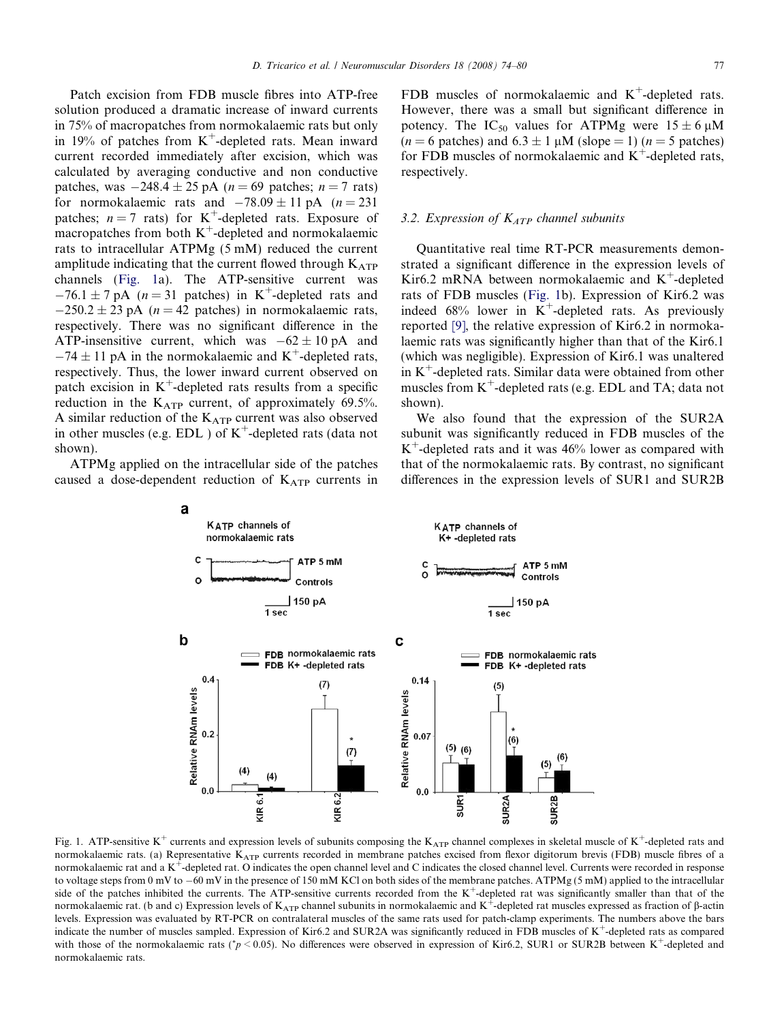<span id="page-3-0"></span>Patch excision from FDB muscle fibres into ATP-free solution produced a dramatic increase of inward currents in 75% of macropatches from normokalaemic rats but only in 19% of patches from  $K^+$ -depleted rats. Mean inward current recorded immediately after excision, which was calculated by averaging conductive and non conductive patches, was  $-248.4 \pm 25$  pA ( $n = 69$  patches;  $n = 7$  rats) for normokalaemic rats and  $-78.09 \pm 11 \text{ pA}$  ( $n = 231$ patches;  $n = 7$  rats) for K<sup>+</sup>-depleted rats. Exposure of macropatches from both  $K^+$ -depleted and normokalaemic rats to intracellular ATPMg (5 mM) reduced the current amplitude indicating that the current flowed through  $K_{ATP}$ channels (Fig. 1a). The ATP-sensitive current was  $-76.1 \pm 7$  pA (n = 31 patches) in K<sup>+</sup>-depleted rats and  $-250.2 \pm 23$  pA (*n* = 42 patches) in normokalaemic rats, respectively. There was no significant difference in the ATP-insensitive current, which was  $-62 \pm 10$  pA and  $-74 \pm 11$  pA in the normokalaemic and K<sup>+</sup>-depleted rats, respectively. Thus, the lower inward current observed on patch excision in  $K^+$ -depleted rats results from a specific reduction in the  $K_{ATP}$  current, of approximately 69.5%. A similar reduction of the KATP current was also observed in other muscles (e.g. EDL) of  $K^+$ -depleted rats (data not shown).

ATPMg applied on the intracellular side of the patches caused a dose-dependent reduction of  $K_{ATP}$  currents in FDB muscles of normokalaemic and  $K^+$ -depleted rats. However, there was a small but significant difference in potency. The IC<sub>50</sub> values for ATPMg were  $15 \pm 6 \mu$ M  $(n = 6$  patches) and  $6.3 \pm 1 \mu M$  (slope = 1)  $(n = 5$  patches) for FDB muscles of normokalaemic and  $K^+$ -depleted rats, respectively.

## 3.2. Expression of  $K_{ATP}$  channel subunits

Quantitative real time RT-PCR measurements demonstrated a significant difference in the expression levels of Kir6.2 mRNA between normokalaemic and  $K^+$ -depleted rats of FDB muscles (Fig. 1b). Expression of Kir6.2 was indeed  $68\%$  lower in K<sup>+</sup>-depleted rats. As previously reported [\[9\]](#page-6-0), the relative expression of Kir6.2 in normokalaemic rats was significantly higher than that of the Kir6.1 (which was negligible). Expression of Kir6.1 was unaltered in  $K^+$ -depleted rats. Similar data were obtained from other muscles from  $K^+$ -depleted rats (e.g. EDL and TA; data not shown).

We also found that the expression of the SUR2A subunit was significantly reduced in FDB muscles of the  $K^+$ -depleted rats and it was 46% lower as compared with that of the normokalaemic rats. By contrast, no significant differences in the expression levels of SUR1 and SUR2B



Fig. 1. ATP-sensitive K<sup>+</sup> currents and expression levels of subunits composing the  $K_{ATP}$  channel complexes in skeletal muscle of K<sup>+</sup>-depleted rats and normokalaemic rats. (a) Representative K<sub>ATP</sub> currents recorded in membrane patches excised from flexor digitorum brevis (FDB) muscle fibres of a normokalaemic rat and a K<sup>+</sup>-depleted rat. O indicates the open channel level and C indicates the closed channel level. Currents were recorded in response to voltage steps from 0 mV to –60 mV in the presence of 150 mM KCl on both sides of the membrane patches. ATPMg (5 mM) applied to the intracellular side of the patches inhibited the currents. The ATP-sensitive currents recorded from the  $K^+$ -depleted rat was significantly smaller than that of the normokalaemic rat. (b and c) Expression levels of  $K_{ATP}$  channel subunits in normokalaemic and  $K^+$ -depleted rat muscles expressed as fraction of  $\beta$ -actin levels. Expression was evaluated by RT-PCR on contralateral muscles of the same rats used for patch-clamp experiments. The numbers above the bars indicate the number of muscles sampled. Expression of Kir6.2 and SUR2A was significantly reduced in FDB muscles of  $K^+$ -depleted rats as compared with those of the normokalaemic rats (\*p < 0.05). No differences were observed in expression of Kir6.2, SUR1 or SUR2B between K<sup>+</sup>-depleted and normokalaemic rats.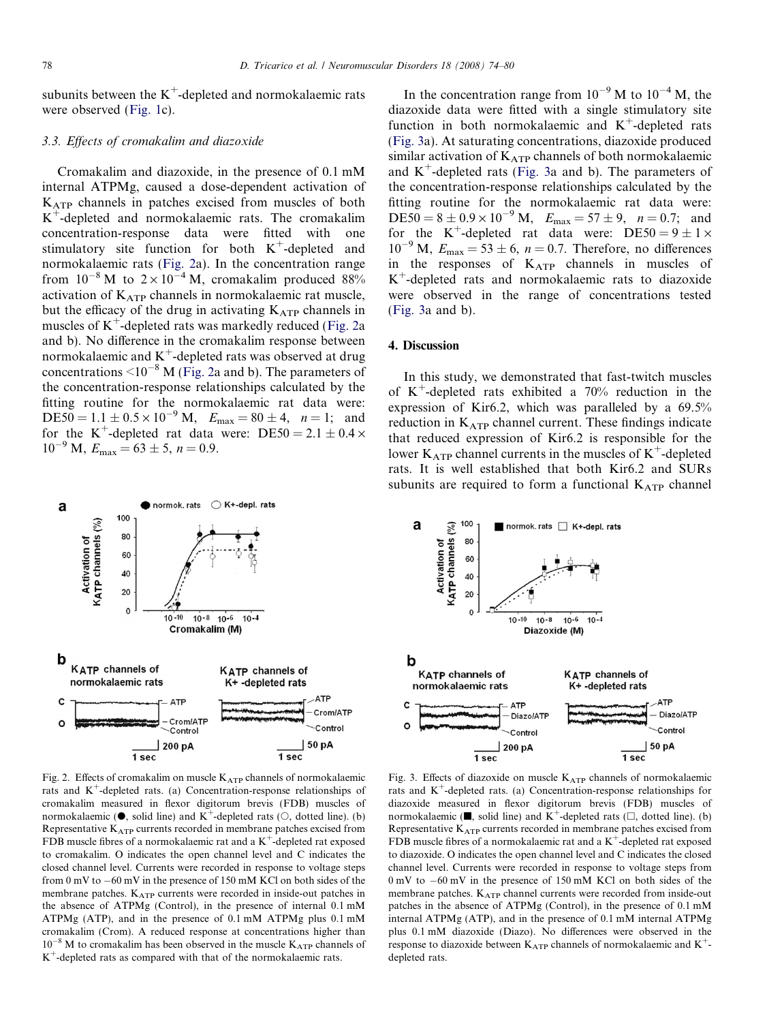subunits between the  $K^+$ -depleted and normokalaemic rats were observed [\(Fig. 1c](#page-3-0)).

# 3.3. Effects of cromakalim and diazoxide

Cromakalim and diazoxide, in the presence of 0.1 mM internal ATPMg, caused a dose-dependent activation of KATP channels in patches excised from muscles of both  $K^+$ -depleted and normokalaemic rats. The cromakalim concentration-response data were fitted with one stimulatory site function for both  $K^+$ -depleted and normokalaemic rats (Fig. 2a). In the concentration range from  $10^{-8}$  M to  $2 \times 10^{-4}$  M, cromakalim produced 88% activation of  $K_{ATP}$  channels in normokalaemic rat muscle, but the efficacy of the drug in activating  $K_{ATP}$  channels in muscles of  $K^+$ -depleted rats was markedly reduced (Fig. 2a and b). No difference in the cromakalim response between normokalaemic and  $K^+$ -depleted rats was observed at drug concentrations  $\leq 10^{-8}$  M (Fig. 2a and b). The parameters of the concentration-response relationships calculated by the fitting routine for the normokalaemic rat data were:  $DE50 = 1.1 \pm 0.5 \times 10^{-9}$  M,  $E_{\text{max}} = 80 \pm 4$ ,  $n = 1$ ; and for the K<sup>+</sup>-depleted rat data were: DE50 =  $2.1 \pm 0.4 \times$  $10^{-9}$  M,  $E_{\text{max}} = 63 \pm 5$ ,  $n = 0.9$ .



Fig. 2. Effects of cromakalim on muscle  $K_{ATP}$  channels of normokalaemic rats and  $K^+$ -depleted rats. (a) Concentration-response relationships of cromakalim measured in flexor digitorum brevis (FDB) muscles of normokalaemic ( $\bullet$ , solid line) and K<sup>+</sup>-depleted rats ( $\circ$ , dotted line). (b) Representative KATP currents recorded in membrane patches excised from FDB muscle fibres of a normokalaemic rat and a  $K^+$ -depleted rat exposed to cromakalim. O indicates the open channel level and C indicates the closed channel level. Currents were recorded in response to voltage steps from 0 mV to  $-60$  mV in the presence of 150 mM KCl on both sides of the membrane patches.  $K_{ATP}$  currents were recorded in inside-out patches in the absence of ATPMg (Control), in the presence of internal 0.1 mM ATPMg (ATP), and in the presence of 0.1 mM ATPMg plus 0.1 mM cromakalim (Crom). A reduced response at concentrations higher than  $10^{-8}$  M to cromakalim has been observed in the muscle  $K_{ATP}$  channels of  $K^+$ -depleted rats as compared with that of the normokalaemic rats.

In the concentration range from  $10^{-9}$  M to  $10^{-4}$  M, the diazoxide data were fitted with a single stimulatory site function in both normokalaemic and  $K^+$ -depleted rats (Fig. 3a). At saturating concentrations, diazoxide produced similar activation of  $K_{ATP}$  channels of both normokalaemic and  $K^+$ -depleted rats (Fig. 3a and b). The parameters of the concentration-response relationships calculated by the fitting routine for the normokalaemic rat data were:  $DE50 = 8 \pm 0.9 \times 10^{-9}$  M,  $E_{\text{max}} = 57 \pm 9$ ,  $n = 0.7$ ; and for the K<sup>+</sup>-depleted rat data were:  $DE50 = 9 \pm 1 \times$  $10^{-9}$  M,  $E_{\text{max}} = 53 \pm 6$ ,  $n = 0.7$ . Therefore, no differences in the responses of  $K_{ATP}$  channels in muscles of  $K^+$ -depleted rats and normokalaemic rats to diazoxide were observed in the range of concentrations tested (Fig. 3a and b).

## 4. Discussion

In this study, we demonstrated that fast-twitch muscles of  $K^+$ -depleted rats exhibited a 70% reduction in the expression of Kir6.2, which was paralleled by a 69.5% reduction in  $K_{ATP}$  channel current. These findings indicate that reduced expression of Kir6.2 is responsible for the lower  $K_{ATP}$  channel currents in the muscles of  $K^+$ -depleted rats. It is well established that both Kir6.2 and SURs subunits are required to form a functional  $K_{ATP}$  channel



Fig. 3. Effects of diazoxide on muscle  $K_{ATP}$  channels of normokalaemic rats and  $K^+$ -depleted rats. (a) Concentration-response relationships for diazoxide measured in flexor digitorum brevis (FDB) muscles of normokalaemic ( $\blacksquare$ , solid line) and K<sup>+</sup>-depleted rats ( $\square$ , dotted line). (b) Representative  $K_{ATP}$  currents recorded in membrane patches excised from FDB muscle fibres of a normokalaemic rat and a  $K^+$ -depleted rat exposed to diazoxide. O indicates the open channel level and C indicates the closed channel level. Currents were recorded in response to voltage steps from 0 mV to -60 mV in the presence of 150 mM KCl on both sides of the membrane patches. K<sub>ATP</sub> channel currents were recorded from inside-out patches in the absence of ATPMg (Control), in the presence of 0.1 mM internal ATPMg (ATP), and in the presence of 0.1 mM internal ATPMg plus 0.1 mM diazoxide (Diazo). No differences were observed in the response to diazoxide between  $K_{ATP}$  channels of normokalaemic and  $K^+$ depleted rats.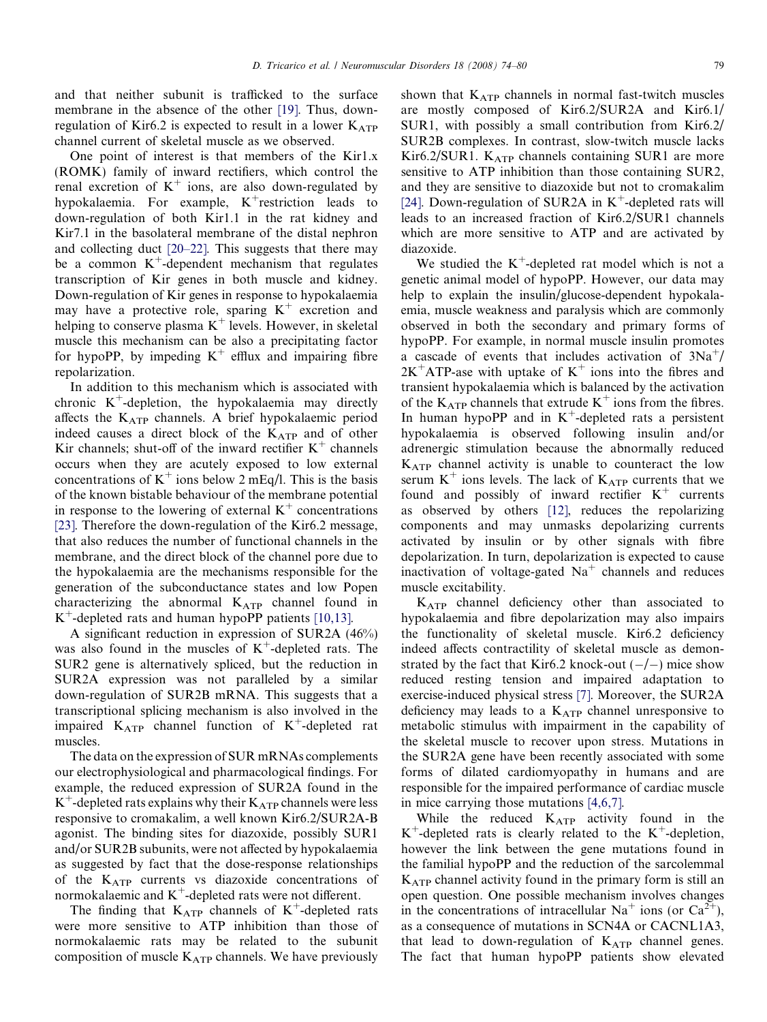One point of interest is that members of the Kir1.x (ROMK) family of inward rectifiers, which control the renal excretion of  $K^+$  ions, are also down-regulated by hypokalaemia. For example,  $K^+$ restriction leads to down-regulation of both Kir1.1 in the rat kidney and Kir7.1 in the basolateral membrane of the distal nephron and collecting duct [\[20–22\]](#page-6-0). This suggests that there may be a common  $K^+$ -dependent mechanism that regulates transcription of Kir genes in both muscle and kidney. Down-regulation of Kir genes in response to hypokalaemia may have a protective role, sparing  $K^+$  excretion and helping to conserve plasma  $K^+$  levels. However, in skeletal muscle this mechanism can be also a precipitating factor for hypoPP, by impeding  $K^+$  efflux and impairing fibre repolarization.

In addition to this mechanism which is associated with chronic  $K^+$ -depletion, the hypokalaemia may directly affects the  $K_{ATP}$  channels. A brief hypokalaemic period indeed causes a direct block of the KATP and of other Kir channels; shut-off of the inward rectifier  $K^+$  channels occurs when they are acutely exposed to low external concentrations of  $K^+$  ions below 2 mEq/l. This is the basis of the known bistable behaviour of the membrane potential in response to the lowering of external  $K^+$  concentrations [\[23\].](#page-6-0) Therefore the down-regulation of the Kir6.2 message, that also reduces the number of functional channels in the membrane, and the direct block of the channel pore due to the hypokalaemia are the mechanisms responsible for the generation of the subconductance states and low Popen characterizing the abnormal  $K_{ATP}$  channel found in  $K^+$ -depleted rats and human hypoPP patients [\[10,13\]](#page-6-0).

A significant reduction in expression of SUR2A (46%) was also found in the muscles of  $K^+$ -depleted rats. The SUR2 gene is alternatively spliced, but the reduction in SUR2A expression was not paralleled by a similar down-regulation of SUR2B mRNA. This suggests that a transcriptional splicing mechanism is also involved in the impaired  $K_{ATP}$  channel function of  $K^+$ -depleted rat muscles.

The data on the expression of SUR mRNAs complements our electrophysiological and pharmacological findings. For example, the reduced expression of SUR2A found in the  $K^+$ -depleted rats explains why their  $K_{ATP}$  channels were less responsive to cromakalim, a well known Kir6.2/SUR2A-B agonist. The binding sites for diazoxide, possibly SUR1 and/or SUR2B subunits, were not affected by hypokalaemia as suggested by fact that the dose-response relationships of the  $K_{ATP}$  currents vs diazoxide concentrations of normokalaemic and  $K^+$ -depleted rats were not different.

The finding that  $K_{ATP}$  channels of  $K^+$ -depleted rats were more sensitive to ATP inhibition than those of normokalaemic rats may be related to the subunit composition of muscle  $K_{ATP}$  channels. We have previously shown that  $K_{ATP}$  channels in normal fast-twitch muscles are mostly composed of Kir6.2/SUR2A and Kir6.1/ SUR1, with possibly a small contribution from Kir6.2/ SUR2B complexes. In contrast, slow-twitch muscle lacks Kir6.2/SUR1.  $K_{ATP}$  channels containing SUR1 are more sensitive to ATP inhibition than those containing SUR2, and they are sensitive to diazoxide but not to cromakalim [\[24\].](#page-6-0) Down-regulation of SUR2A in  $K^+$ -depleted rats will leads to an increased fraction of Kir6.2/SUR1 channels which are more sensitive to ATP and are activated by diazoxide.

We studied the  $K^+$ -depleted rat model which is not a genetic animal model of hypoPP. However, our data may help to explain the insulin/glucose-dependent hypokalaemia, muscle weakness and paralysis which are commonly observed in both the secondary and primary forms of hypoPP. For example, in normal muscle insulin promotes a cascade of events that includes activation of  $3Na^{+}/$  $2K^{+}ATP$ -ase with uptake of  $K^{+}$  ions into the fibres and transient hypokalaemia which is balanced by the activation of the  $K_{ATP}$  channels that extrude  $K^+$  ions from the fibres. In human hypoPP and in  $K^+$ -depleted rats a persistent hypokalaemia is observed following insulin and/or adrenergic stimulation because the abnormally reduced KATP channel activity is unable to counteract the low serum  $K^+$  ions levels. The lack of  $K_{ATP}$  currents that we found and possibly of inward rectifier  $K^+$  currents as observed by others [\[12\]](#page-6-0), reduces the repolarizing components and may unmasks depolarizing currents activated by insulin or by other signals with fibre depolarization. In turn, depolarization is expected to cause inactivation of voltage-gated  $Na<sup>+</sup>$  channels and reduces muscle excitability.

KATP channel deficiency other than associated to hypokalaemia and fibre depolarization may also impairs the functionality of skeletal muscle. Kir6.2 deficiency indeed affects contractility of skeletal muscle as demonstrated by the fact that Kir6.2 knock-out  $(-/-)$  mice show reduced resting tension and impaired adaptation to exercise-induced physical stress [\[7\]](#page-6-0). Moreover, the SUR2A deficiency may leads to a  $K_{ATP}$  channel unresponsive to metabolic stimulus with impairment in the capability of the skeletal muscle to recover upon stress. Mutations in the SUR2A gene have been recently associated with some forms of dilated cardiomyopathy in humans and are responsible for the impaired performance of cardiac muscle in mice carrying those mutations [\[4,6,7\].](#page-6-0)

While the reduced  $K_{ATP}$  activity found in the  $K^+$ -depleted rats is clearly related to the  $K^+$ -depletion, however the link between the gene mutations found in the familial hypoPP and the reduction of the sarcolemmal  $K_{ATP}$  channel activity found in the primary form is still an open question. One possible mechanism involves changes in the concentrations of intracellular Na<sup>+</sup> ions (or  $Ca^{2+}$ ), as a consequence of mutations in SCN4A or CACNL1A3, that lead to down-regulation of KATP channel genes. The fact that human hypoPP patients show elevated